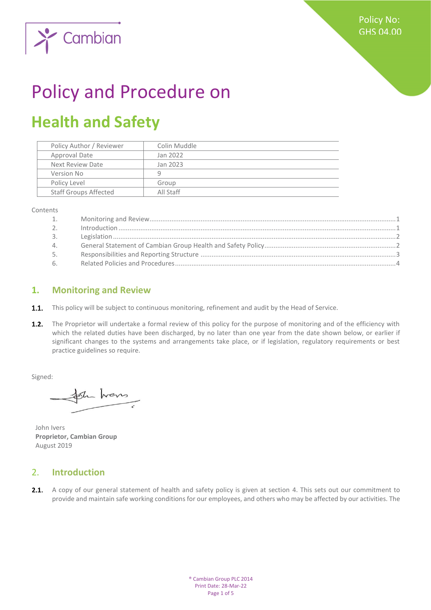

# Policy and Procedure on

## **Health and Safety**

| Policy Author / Reviewer     | Colin Muddle |
|------------------------------|--------------|
| Approval Date                | Jan 2022     |
| Next Review Date             | Jan 2023     |
| Version No                   | q            |
| Policy Level                 | Group        |
| <b>Staff Groups Affected</b> | All Staff    |
|                              |              |

Contents

| 1.             |  |
|----------------|--|
| 2 <sub>1</sub> |  |
| 3.             |  |
| 4.             |  |
| 5.             |  |
| 6.             |  |

#### <span id="page-0-0"></span>**1. Monitoring and Review**

- **1.1.** This policy will be subject to continuous monitoring, refinement and audit by the Head of Service.
- $1.2.$ The Proprietor will undertake a formal review of this policy for the purpose of monitoring and of the efficiency with which the related duties have been discharged, by no later than one year from the date shown below, or earlier if significant changes to the systems and arrangements take place, or if legislation, regulatory requirements or best practice guidelines so require.

Signed:

Sh hans

John Ivers **Proprietor, Cambian Group** August 2019

#### <span id="page-0-1"></span>2. **Introduction**

2.1. A copy of our general statement of health and safety policy is given at section 4. This sets out our commitment to provide and maintain safe working conditions for our employees, and others who may be affected by our activities. The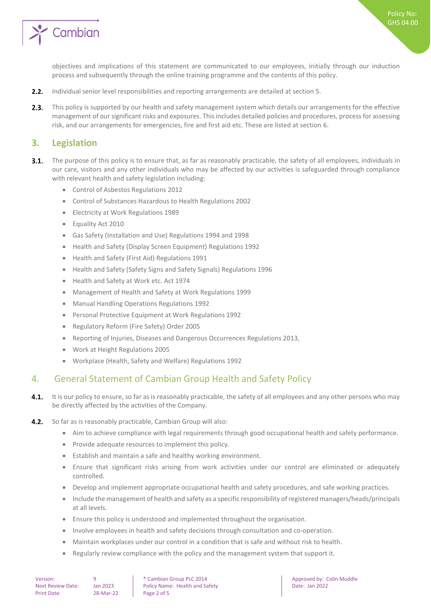

Policy No: GHS 04.00

objectives and implications of this statement are communicated to our employees, initially through our induction process and subsequently through the online training programme and the contents of this policy.

- $2.2.$ Individual senior level responsibilities and reporting arrangements are detailed at section 5.
- $2.3.$ This policy is supported by our health and safety management system which details our arrangements for the effective management of our significant risks and exposures. This includes detailed policies and procedures, process for assessing risk, and our arrangements for emergencies, fire and first aid etc. These are listed at section 6.

#### <span id="page-1-0"></span>**3. Legislation**

- $3.1.$ The purpose of this policy is to ensure that, as far as reasonably practicable, the safety of all employees, individuals in our care, visitors and any other individuals who may be affected by our activities is safeguarded through compliance with relevant health and safety legislation including:
	- Control of Asbestos Regulations 2012
	- Control of Substances Hazardous to Health Regulations 2002
	- Electricity at Work Regulations 1989
	- Equality Act 2010
	- Gas Safety (Installation and Use) Regulations 1994 and 1998
	- Health and Safety (Display Screen Equipment) Regulations 1992
	- Health and Safety (First Aid) Regulations 1991
	- Health and Safety (Safety Signs and Safety Signals) Regulations 1996
	- Health and Safety at Work etc. Act 1974
	- Management of Health and Safety at Work Regulations 1999
	- Manual Handling Operations Regulations 1992
	- Personal Protective Equipment at Work Regulations 1992
	- Regulatory Reform (Fire Safety) Order 2005
	- Reporting of Injuries, Diseases and Dangerous Occurrences Regulations 2013,
	- Work at Height Regulations 2005
	- Workplace (Health, Safety and Welfare) Regulations 1992

#### <span id="page-1-1"></span>4. General Statement of Cambian Group Health and Safety Policy

- $4.1.$ It is our policy to ensure, so far as is reasonably practicable, the safety of all employees and any other persons who may be directly affected by the activities of the Company.
- $4.2.$ So far as is reasonably practicable, Cambian Group will also:
	- Aim to achieve compliance with legal requirements through good occupational health and safety performance.
	- Provide adequate resources to implement this policy.
	- Establish and maintain a safe and healthy working environment.
	- Ensure that significant risks arising from work activities under our control are eliminated or adequately controlled.
	- Develop and implement appropriate occupational health and safety procedures, and safe working practices.
	- Include the management of health and safety as a specific responsibility of registered managers/heads/principals at all levels.
	- Ensure this policy is understood and implemented throughout the organisation.
	- Involve employees in health and safety decisions through consultation and co-operation.
	- Maintain workplaces under our control in a condition that is safe and without risk to health.
	- Regularly review compliance with the policy and the management system that support it.

Version: 9 9 **9** Cambian Group PLC 2014 **Approved by:** Colin Muddle Next Review Date: Jan 2023 | Policy Name: Health and Safety | Date: Jan 2022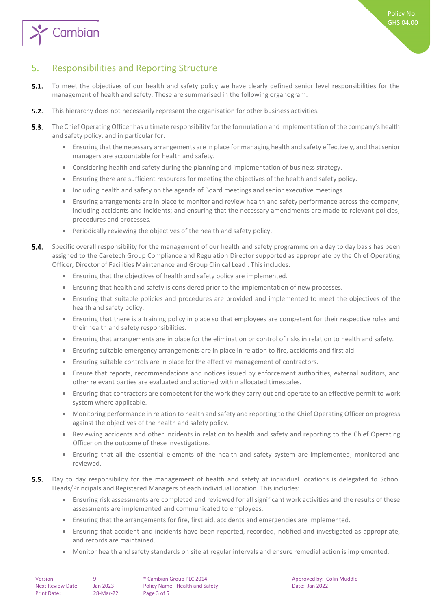

### <span id="page-2-0"></span>5. Responsibilities and Reporting Structure

- $5.1.$ To meet the objectives of our health and safety policy we have clearly defined senior level responsibilities for the management of health and safety. These are summarised in the following organogram.
- $5.2.$ This hierarchy does not necessarily represent the organisation for other business activities.
- $5.3.$ The Chief Operating Officer has ultimate responsibility for the formulation and implementation of the company's health and safety policy, and in particular for:
	- Ensuring that the necessary arrangements are in place for managing health and safety effectively, and that senior managers are accountable for health and safety.
	- Considering health and safety during the planning and implementation of business strategy.
	- Ensuring there are sufficient resources for meeting the objectives of the health and safety policy.
	- Including health and safety on the agenda of Board meetings and senior executive meetings.
	- Ensuring arrangements are in place to monitor and review health and safety performance across the company, including accidents and incidents; and ensuring that the necessary amendments are made to relevant policies, procedures and processes.
	- Periodically reviewing the objectives of the health and safety policy.
- 54 Specific overall responsibility for the management of our health and safety programme on a day to day basis has been assigned to the Caretech Group Compliance and Regulation Director supported as appropriate by the Chief Operating Officer, Director of Facilities Maintenance and Group Clinical Lead . This includes:
	- Ensuring that the objectives of health and safety policy are implemented.
	- Ensuring that health and safety is considered prior to the implementation of new processes.
	- Ensuring that suitable policies and procedures are provided and implemented to meet the objectives of the health and safety policy.
	- Ensuring that there is a training policy in place so that employees are competent for their respective roles and their health and safety responsibilities.
	- Ensuring that arrangements are in place for the elimination or control of risks in relation to health and safety.
	- Ensuring suitable emergency arrangements are in place in relation to fire, accidents and first aid.
	- Ensuring suitable controls are in place for the effective management of contractors.
	- Ensure that reports, recommendations and notices issued by enforcement authorities, external auditors, and other relevant parties are evaluated and actioned within allocated timescales.
	- Ensuring that contractors are competent for the work they carry out and operate to an effective permit to work system where applicable.
	- Monitoring performance in relation to health and safety and reporting to the Chief Operating Officer on progress against the objectives of the health and safety policy.
	- Reviewing accidents and other incidents in relation to health and safety and reporting to the Chief Operating Officer on the outcome of these investigations.
	- Ensuring that all the essential elements of the health and safety system are implemented, monitored and reviewed.
- $5.5.$ Day to day responsibility for the management of health and safety at individual locations is delegated to School Heads/Principals and Registered Managers of each individual location. This includes:
	- Ensuring risk assessments are completed and reviewed for all significant work activities and the results of these assessments are implemented and communicated to employees.
	- Ensuring that the arrangements for fire, first aid, accidents and emergencies are implemented.
	- Ensuring that accident and incidents have been reported, recorded, notified and investigated as appropriate, and records are maintained.
	- Monitor health and safety standards on site at regular intervals and ensure remedial action is implemented.

| Version:          |  |
|-------------------|--|
| Next Review Date: |  |
| Print Date:       |  |

 $P^2$ -Mar-22 Page 3 of 5

9 **8 Cambian Group PLC 2014 Approved by: Colin Muddle** Jan 2023 Policy Name: Health and Safety **Date: Jan 2022**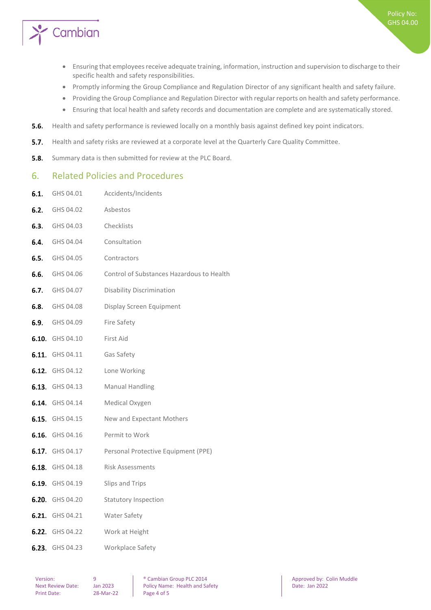

- Ensuring that employees receive adequate training, information, instruction and supervision to discharge to their specific health and safety responsibilities.
- Promptly informing the Group Compliance and Regulation Director of any significant health and safety failure.
- Providing the Group Compliance and Regulation Director with regular reports on health and safety performance.
- Ensuring that local health and safety records and documentation are complete and are systematically stored.
- $5.6.$ Health and safety performance is reviewed locally on a monthly basis against defined key point indicators.
- $5.7.$ Health and safety risks are reviewed at a corporate level at the Quarterly Care Quality Committee.
- <span id="page-3-0"></span> $5.8.$ Summary data is then submitted for review at the PLC Board.

#### 6. Related Policies and Procedures

6.1. GHS 04.01 Accidents/Incidents

| 6.2. | GHS 04.02              | Asbestos                                  |
|------|------------------------|-------------------------------------------|
|      | <b>6.3.</b> GHS 04.03  | Checklists                                |
|      | <b>6.4.</b> GHS 04.04  | Consultation                              |
|      | <b>6.5.</b> GHS 04.05  | Contractors                               |
|      | <b>6.6.</b> GHS 04.06  | Control of Substances Hazardous to Health |
|      | <b>6.7.</b> GHS 04.07  | <b>Disability Discrimination</b>          |
|      | <b>6.8.</b> GHS 04.08  | Display Screen Equipment                  |
|      | <b>6.9.</b> GHS 04.09  | Fire Safety                               |
|      | <b>6.10.</b> GHS 04.10 | First Aid                                 |
|      | <b>6.11.</b> GHS 04.11 | Gas Safety                                |
|      | 6.12. GHS 04.12        | Lone Working                              |
|      | 6.13. GHS 04.13        | <b>Manual Handling</b>                    |
|      | 6.14. GHS 04.14        | Medical Oxygen                            |
|      | <b>6.15.</b> GHS 04.15 | New and Expectant Mothers                 |
|      | <b>6.16.</b> GHS 04.16 | Permit to Work                            |
|      | 6.17. GHS 04.17        | Personal Protective Equipment (PPE)       |
|      | 6.18. GHS 04.18        | <b>Risk Assessments</b>                   |
|      | 6.19. GHS 04.19        | Slips and Trips                           |
|      | 6.20. GHS 04.20        | <b>Statutory Inspection</b>               |
|      | 6.21. GHS 04.21        | Water Safety                              |
|      | <b>6.22.</b> GHS 04.22 | Work at Height                            |
|      | 6.23. GHS 04.23        | Workplace Safety                          |